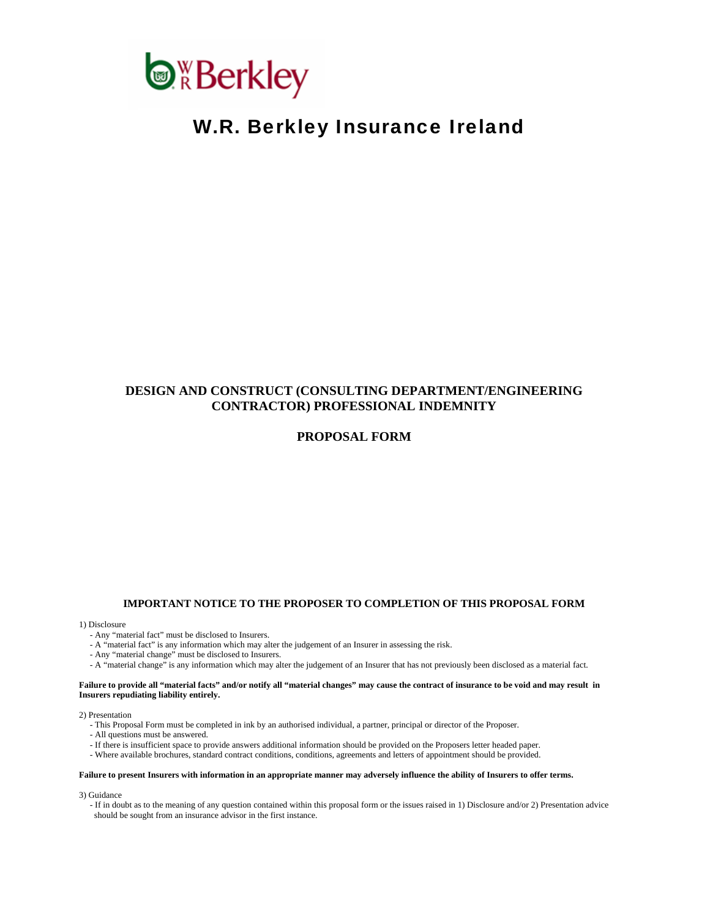

# W.R. Berkley Insurance Ireland

# **DESIGN AND CONSTRUCT (CONSULTING DEPARTMENT/ENGINEERING CONTRACTOR) PROFESSIONAL INDEMNITY**

# **PROPOSAL FORM**

#### **IMPORTANT NOTICE TO THE PROPOSER TO COMPLETION OF THIS PROPOSAL FORM**

1) Disclosure

- Any "material fact" must be disclosed to Insurers.
- A "material fact" is any information which may alter the judgement of an Insurer in assessing the risk.
- Any "material change" must be disclosed to Insurers.
- A "material change" is any information which may alter the judgement of an Insurer that has not previously been disclosed as a material fact.

**Failure to provide all "material facts" and/or notify all "material changes" may cause the contract of insurance to be void and may result in Insurers repudiating liability entirely.** 

2) Presentation

- This Proposal Form must be completed in ink by an authorised individual, a partner, principal or director of the Proposer.
- All questions must be answered.
- If there is insufficient space to provide answers additional information should be provided on the Proposers letter headed paper.
- Where available brochures, standard contract conditions, conditions, agreements and letters of appointment should be provided.

#### **Failure to present Insurers with information in an appropriate manner may adversely influence the ability of Insurers to offer terms.**

3) Guidance

 - If in doubt as to the meaning of any question contained within this proposal form or the issues raised in 1) Disclosure and/or 2) Presentation advice should be sought from an insurance advisor in the first instance.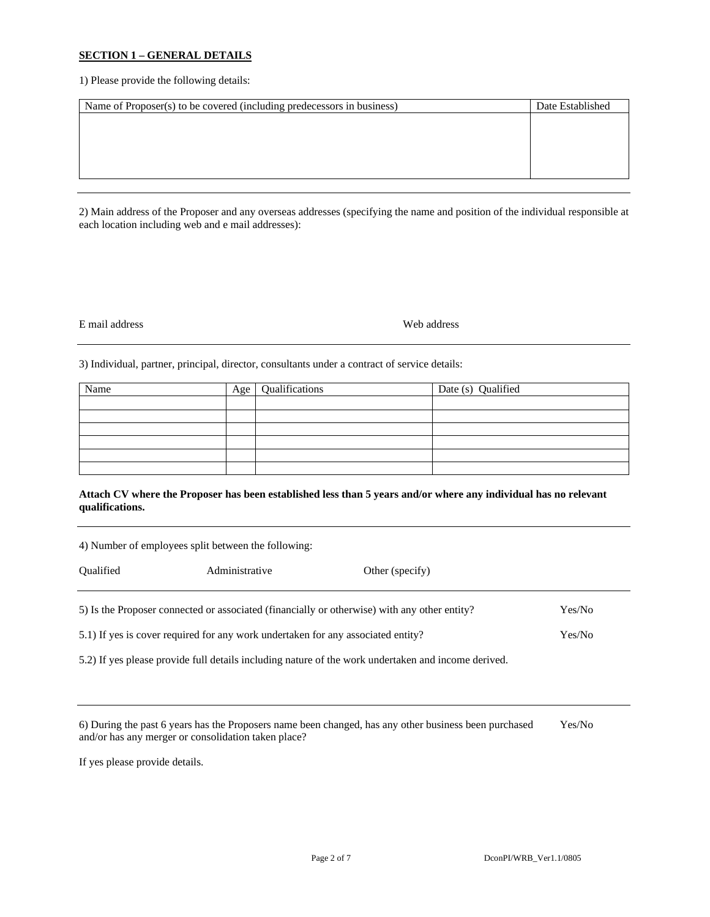#### **SECTION 1 – GENERAL DETAILS**

1) Please provide the following details:

| Name of Proposer(s) to be covered (including predecessors in business) | Date Established |
|------------------------------------------------------------------------|------------------|
|                                                                        |                  |
|                                                                        |                  |
|                                                                        |                  |
|                                                                        |                  |
|                                                                        |                  |

2) Main address of the Proposer and any overseas addresses (specifying the name and position of the individual responsible at each location including web and e mail addresses):

# E mail address Web address

3) Individual, partner, principal, director, consultants under a contract of service details:

| Name | Age | Qualifications | Date (s) Qualified |
|------|-----|----------------|--------------------|
|      |     |                |                    |
|      |     |                |                    |
|      |     |                |                    |
|      |     |                |                    |
|      |     |                |                    |
|      |     |                |                    |

# **Attach CV where the Proposer has been established less than 5 years and/or where any individual has no relevant qualifications.**

| 4) Number of employees split between the following:                                                    |  |  |  |  |  |  |  |  |  |
|--------------------------------------------------------------------------------------------------------|--|--|--|--|--|--|--|--|--|
| <b>Oualified</b><br>Administrative<br>Other (specify)                                                  |  |  |  |  |  |  |  |  |  |
| 5) Is the Proposer connected or associated (financially or otherwise) with any other entity?<br>Yes/No |  |  |  |  |  |  |  |  |  |
| 5.1) If yes is cover required for any work undertaken for any associated entity?<br>Yes/No             |  |  |  |  |  |  |  |  |  |
| 5.2) If yes please provide full details including nature of the work undertaken and income derived.    |  |  |  |  |  |  |  |  |  |

| 6) During the past 6 years has the Proposers name been changed, has any other business been purchased | Yes/No |
|-------------------------------------------------------------------------------------------------------|--------|
| and/or has any merger or consolidation taken place?                                                   |        |

If yes please provide details.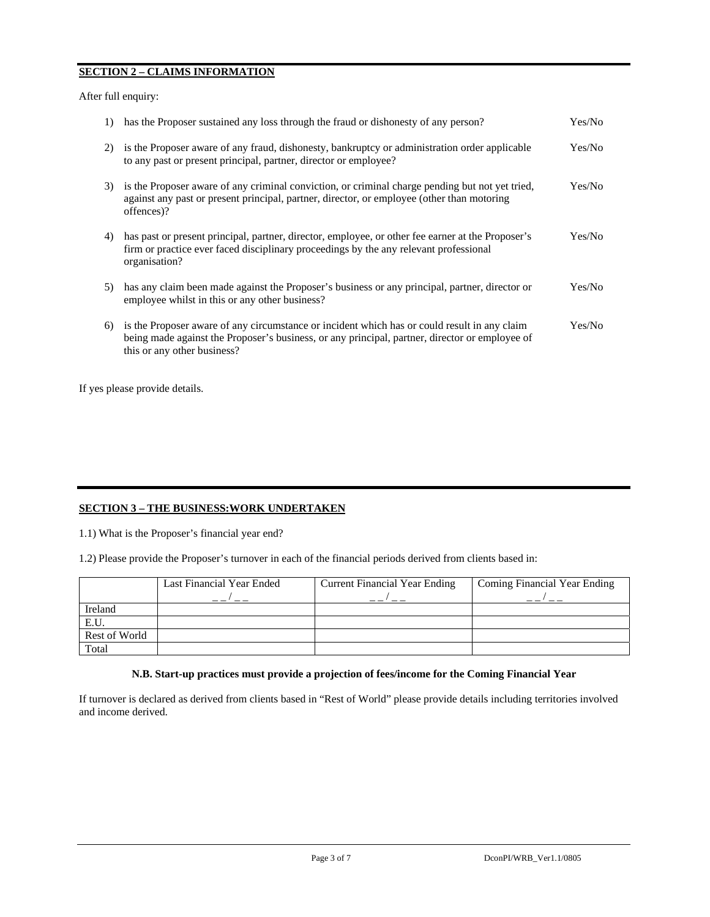# **SECTION 2 – CLAIMS INFORMATION**

After full enquiry:

| $\overline{1}$ | has the Proposer sustained any loss through the fraud or dishonesty of any person?                                                                                                                                            | Yes/No  |
|----------------|-------------------------------------------------------------------------------------------------------------------------------------------------------------------------------------------------------------------------------|---------|
| 2)             | is the Proposer aware of any fraud, dishonesty, bankruptcy or administration order applicable<br>to any past or present principal, partner, director or employee?                                                             | Yes/No  |
| 3)             | is the Proposer aware of any criminal conviction, or criminal charge pending but not yet tried,<br>against any past or present principal, partner, director, or employee (other than motoring<br>offences)?                   | Yes/No  |
| 4)             | has past or present principal, partner, director, employee, or other fee earner at the Proposer's<br>firm or practice ever faced disciplinary proceedings by the any relevant professional<br>organisation?                   | Yes/No  |
| 5)             | has any claim been made against the Proposer's business or any principal, partner, director or<br>employee whilst in this or any other business?                                                                              | Yes/No  |
| 6)             | is the Proposer aware of any circumstance or incident which has or could result in any claim<br>being made against the Proposer's business, or any principal, partner, director or employee of<br>this or any other business? | Yes/No- |

If yes please provide details.

# **SECTION 3 – THE BUSINESS:WORK UNDERTAKEN**

1.1) What is the Proposer's financial year end?

1.2) Please provide the Proposer's turnover in each of the financial periods derived from clients based in:

|               | Last Financial Year Ended | <b>Current Financial Year Ending</b> | Coming Financial Year Ending |
|---------------|---------------------------|--------------------------------------|------------------------------|
|               |                           |                                      |                              |
| Ireland       |                           |                                      |                              |
| E.U.          |                           |                                      |                              |
| Rest of World |                           |                                      |                              |
| Total         |                           |                                      |                              |

## **N.B. Start-up practices must provide a projection of fees/income for the Coming Financial Year**

If turnover is declared as derived from clients based in "Rest of World" please provide details including territories involved and income derived.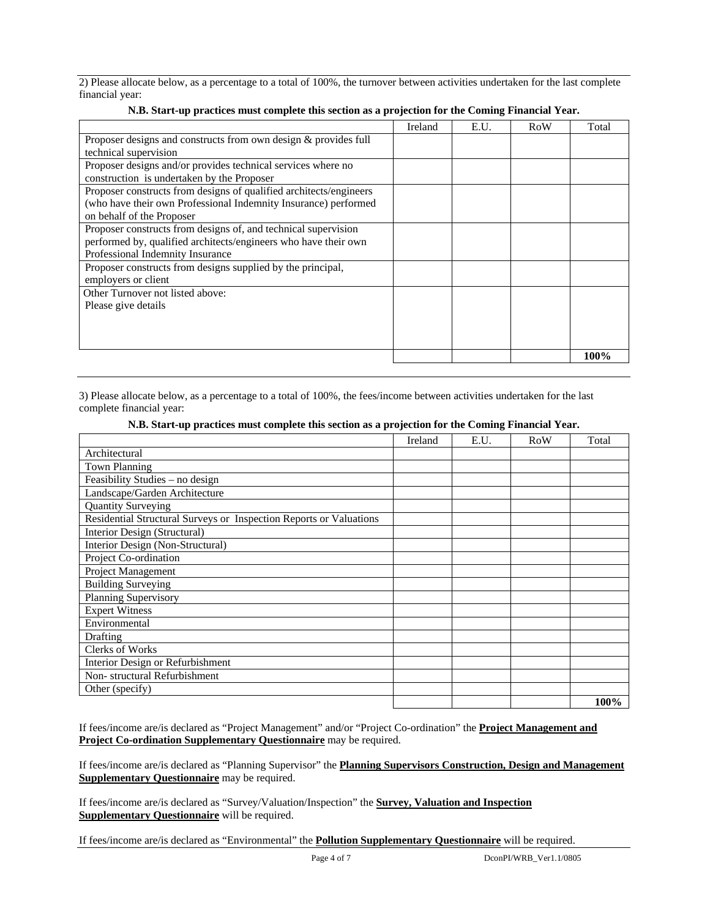2) Please allocate below, as a percentage to a total of 100%, the turnover between activities undertaken for the last complete financial year:

|                                                                    | Ireland | E.U. | RoW | Total |
|--------------------------------------------------------------------|---------|------|-----|-------|
| Proposer designs and constructs from own design & provides full    |         |      |     |       |
| technical supervision                                              |         |      |     |       |
| Proposer designs and/or provides technical services where no       |         |      |     |       |
| construction is undertaken by the Proposer                         |         |      |     |       |
| Proposer constructs from designs of qualified architects/engineers |         |      |     |       |
| (who have their own Professional Indemnity Insurance) performed    |         |      |     |       |
| on behalf of the Proposer                                          |         |      |     |       |
| Proposer constructs from designs of, and technical supervision     |         |      |     |       |
| performed by, qualified architects/engineers who have their own    |         |      |     |       |
| Professional Indemnity Insurance                                   |         |      |     |       |
| Proposer constructs from designs supplied by the principal,        |         |      |     |       |
| employers or client                                                |         |      |     |       |
| Other Turnover not listed above:                                   |         |      |     |       |
| Please give details                                                |         |      |     |       |
|                                                                    |         |      |     |       |
|                                                                    |         |      |     |       |
|                                                                    |         |      |     |       |
|                                                                    |         |      |     | 100%  |

## **N.B. Start-up practices must complete this section as a projection for the Coming Financial Year.**

3) Please allocate below, as a percentage to a total of 100%, the fees/income between activities undertaken for the last complete financial year:

#### **N.B. Start-up practices must complete this section as a projection for the Coming Financial Year.**

|                                                                    | Ireland | E.U. | RoW | Total |
|--------------------------------------------------------------------|---------|------|-----|-------|
| Architectural                                                      |         |      |     |       |
| <b>Town Planning</b>                                               |         |      |     |       |
| Feasibility Studies - no design                                    |         |      |     |       |
| Landscape/Garden Architecture                                      |         |      |     |       |
| <b>Quantity Surveying</b>                                          |         |      |     |       |
| Residential Structural Surveys or Inspection Reports or Valuations |         |      |     |       |
| Interior Design (Structural)                                       |         |      |     |       |
| Interior Design (Non-Structural)                                   |         |      |     |       |
| Project Co-ordination                                              |         |      |     |       |
| Project Management                                                 |         |      |     |       |
| <b>Building Surveying</b>                                          |         |      |     |       |
| Planning Supervisory                                               |         |      |     |       |
| <b>Expert Witness</b>                                              |         |      |     |       |
| Environmental                                                      |         |      |     |       |
| <b>Drafting</b>                                                    |         |      |     |       |
| Clerks of Works                                                    |         |      |     |       |
| Interior Design or Refurbishment                                   |         |      |     |       |
| Non-structural Refurbishment                                       |         |      |     |       |
| Other (specify)                                                    |         |      |     |       |
|                                                                    |         |      |     | 100%  |

If fees/income are/is declared as "Project Management" and/or "Project Co-ordination" the **Project Management and Project Co-ordination Supplementary Questionnaire** may be required.

If fees/income are/is declared as "Planning Supervisor" the **Planning Supervisors Construction, Design and Management Supplementary Questionnaire** may be required.

If fees/income are/is declared as "Survey/Valuation/Inspection" the **Survey, Valuation and Inspection Supplementary Questionnaire** will be required.

If fees/income are/is declared as "Environmental" the **Pollution Supplementary Questionnaire** will be required.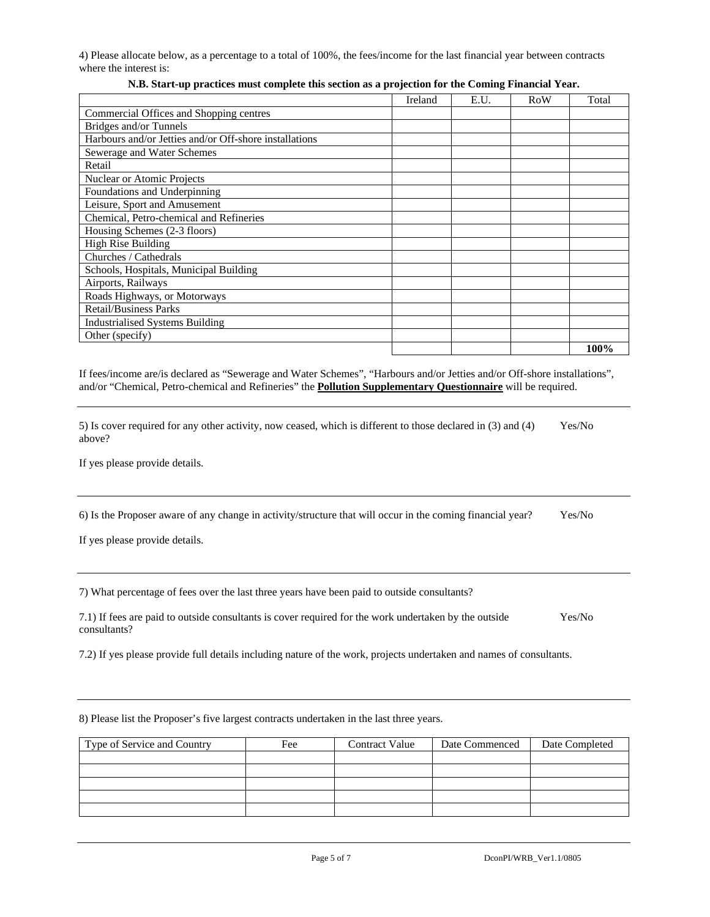4) Please allocate below, as a percentage to a total of 100%, the fees/income for the last financial year between contracts where the interest is:

|                                                        | Ireland | E.U. | RoW | Total |
|--------------------------------------------------------|---------|------|-----|-------|
| Commercial Offices and Shopping centres                |         |      |     |       |
| Bridges and/or Tunnels                                 |         |      |     |       |
| Harbours and/or Jetties and/or Off-shore installations |         |      |     |       |
| Sewerage and Water Schemes                             |         |      |     |       |
| Retail                                                 |         |      |     |       |
| Nuclear or Atomic Projects                             |         |      |     |       |
| Foundations and Underpinning                           |         |      |     |       |
| Leisure, Sport and Amusement                           |         |      |     |       |
| Chemical, Petro-chemical and Refineries                |         |      |     |       |
| Housing Schemes (2-3 floors)                           |         |      |     |       |
| <b>High Rise Building</b>                              |         |      |     |       |
| Churches / Cathedrals                                  |         |      |     |       |
| Schools, Hospitals, Municipal Building                 |         |      |     |       |
| Airports, Railways                                     |         |      |     |       |
| Roads Highways, or Motorways                           |         |      |     |       |
| <b>Retail/Business Parks</b>                           |         |      |     |       |
| <b>Industrialised Systems Building</b>                 |         |      |     |       |
| Other (specify)                                        |         |      |     |       |
|                                                        |         |      |     | 100%  |

# **N.B. Start-up practices must complete this section as a projection for the Coming Financial Year.**

If fees/income are/is declared as "Sewerage and Water Schemes", "Harbours and/or Jetties and/or Off-shore installations", and/or "Chemical, Petro-chemical and Refineries" the **Pollution Supplementary Questionnaire** will be required.

| 5) Is cover required for any other activity, now ceased, which is different to those declared in (3) and (4) | Yes/No |
|--------------------------------------------------------------------------------------------------------------|--------|
| above?                                                                                                       |        |

If yes please provide details.

| 6) Is the Proposer aware of any change in activity/structure that will occur in the coming financial year? |  |  |  |  |  |  |  |  |  | Yes/No |
|------------------------------------------------------------------------------------------------------------|--|--|--|--|--|--|--|--|--|--------|
|------------------------------------------------------------------------------------------------------------|--|--|--|--|--|--|--|--|--|--------|

If yes please provide details.

7) What percentage of fees over the last three years have been paid to outside consultants?

7.1) If fees are paid to outside consultants is cover required for the work undertaken by the outside Yes/No consultants?

7.2) If yes please provide full details including nature of the work, projects undertaken and names of consultants.

8) Please list the Proposer's five largest contracts undertaken in the last three years.

| Type of Service and Country | Fee | <b>Contract Value</b> | Date Commenced | Date Completed |
|-----------------------------|-----|-----------------------|----------------|----------------|
|                             |     |                       |                |                |
|                             |     |                       |                |                |
|                             |     |                       |                |                |
|                             |     |                       |                |                |
|                             |     |                       |                |                |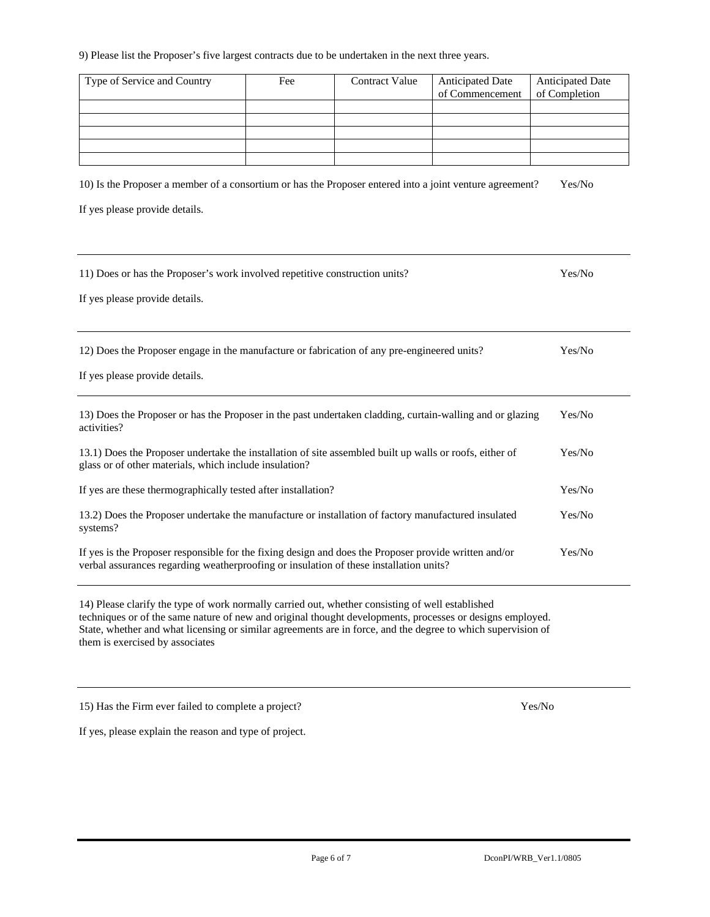#### 9) Please list the Proposer's five largest contracts due to be undertaken in the next three years.

| Type of Service and Country | Fee | <b>Contract Value</b> | <b>Anticipated Date</b> | <b>Anticipated Date</b> |
|-----------------------------|-----|-----------------------|-------------------------|-------------------------|
|                             |     |                       | of Commencement         | of Completion           |
|                             |     |                       |                         |                         |
|                             |     |                       |                         |                         |
|                             |     |                       |                         |                         |
|                             |     |                       |                         |                         |
|                             |     |                       |                         |                         |

10) Is the Proposer a member of a consortium or has the Proposer entered into a joint venture agreement? Yes/No

If yes please provide details.

| 11) Does or has the Proposer's work involved repetitive construction units?                                                                                                                     | Yes/No |
|-------------------------------------------------------------------------------------------------------------------------------------------------------------------------------------------------|--------|
| If yes please provide details.                                                                                                                                                                  |        |
|                                                                                                                                                                                                 |        |
| 12) Does the Proposer engage in the manufacture or fabrication of any pre-engineered units?                                                                                                     | Yes/No |
| If yes please provide details.                                                                                                                                                                  |        |
| 13) Does the Proposer or has the Proposer in the past undertaken cladding, curtain-walling and or glazing<br>activities?                                                                        | Yes/No |
| 13.1) Does the Proposer undertake the installation of site assembled built up walls or roofs, either of<br>glass or of other materials, which include insulation?                               | Yes/No |
| If yes are these thermographically tested after installation?                                                                                                                                   | Yes/No |
| 13.2) Does the Proposer undertake the manufacture or installation of factory manufactured insulated<br>systems?                                                                                 | Yes/No |
| If yes is the Proposer responsible for the fixing design and does the Proposer provide written and/or<br>verbal assurances regarding weatherproofing or insulation of these installation units? | Yes/No |

14) Please clarify the type of work normally carried out, whether consisting of well established techniques or of the same nature of new and original thought developments, processes or designs employed. State, whether and what licensing or similar agreements are in force, and the degree to which supervision of them is exercised by associates

15) Has the Firm ever failed to complete a project? Yes/No

If yes, please explain the reason and type of project.